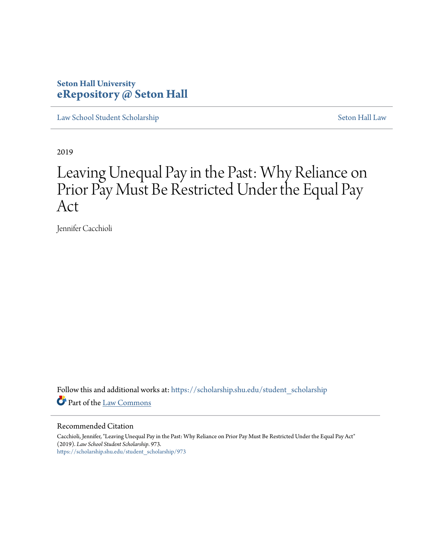# **Seton Hall University [eRepository @ Seton Hall](https://scholarship.shu.edu?utm_source=scholarship.shu.edu%2Fstudent_scholarship%2F973&utm_medium=PDF&utm_campaign=PDFCoverPages)**

[Law School Student Scholarship](https://scholarship.shu.edu/student_scholarship?utm_source=scholarship.shu.edu%2Fstudent_scholarship%2F973&utm_medium=PDF&utm_campaign=PDFCoverPages) [Seton Hall Law](https://scholarship.shu.edu/law?utm_source=scholarship.shu.edu%2Fstudent_scholarship%2F973&utm_medium=PDF&utm_campaign=PDFCoverPages)

2019

# Leaving Unequal Pay in the Past: Why Reliance on Prior Pay Must Be Restricted Under the Equal Pay Act

Jennifer Cacchioli

Follow this and additional works at: [https://scholarship.shu.edu/student\\_scholarship](https://scholarship.shu.edu/student_scholarship?utm_source=scholarship.shu.edu%2Fstudent_scholarship%2F973&utm_medium=PDF&utm_campaign=PDFCoverPages) Part of the [Law Commons](http://network.bepress.com/hgg/discipline/578?utm_source=scholarship.shu.edu%2Fstudent_scholarship%2F973&utm_medium=PDF&utm_campaign=PDFCoverPages)

#### Recommended Citation

Cacchioli, Jennifer, "Leaving Unequal Pay in the Past: Why Reliance on Prior Pay Must Be Restricted Under the Equal Pay Act" (2019). *Law School Student Scholarship*. 973. [https://scholarship.shu.edu/student\\_scholarship/973](https://scholarship.shu.edu/student_scholarship/973?utm_source=scholarship.shu.edu%2Fstudent_scholarship%2F973&utm_medium=PDF&utm_campaign=PDFCoverPages)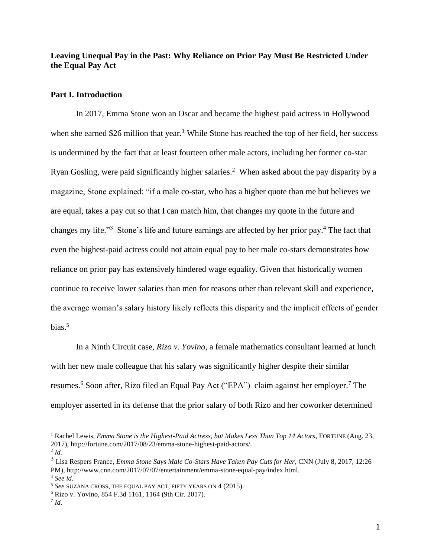**Leaving Unequal Pay in the Past: Why Reliance on Prior Pay Must Be Restricted Under the Equal Pay Act**

#### **Part I. Introduction**

In 2017, Emma Stone won an Oscar and became the highest paid actress in Hollywood when she earned \$26 million that year.<sup>1</sup> While Stone has reached the top of her field, her success is undermined by the fact that at least fourteen other male actors, including her former co-star Ryan Gosling, were paid significantly higher salaries.<sup>2</sup> When asked about the pay disparity by a magazine, Stone explained: "if a male co-star, who has a higher quote than me but believes we are equal, takes a pay cut so that I can match him, that changes my quote in the future and changes my life."<sup>3</sup> Stone's life and future earnings are affected by her prior pay.<sup>4</sup> The fact that even the highest-paid actress could not attain equal pay to her male co-stars demonstrates how reliance on prior pay has extensively hindered wage equality. Given that historically women continue to receive lower salaries than men for reasons other than relevant skill and experience, the average woman's salary history likely reflects this disparity and the implicit effects of gender bias. $5$ 

In a Ninth Circuit case, *Rizo v. Yovino*, a female mathematics consultant learned at lunch with her new male colleague that his salary was significantly higher despite their similar resumes.<sup>6</sup> Soon after, Rizo filed an Equal Pay Act ("EPA") claim against her employer.<sup>7</sup> The employer asserted in its defense that the prior salary of both Rizo and her coworker determined

<sup>1</sup> Rachel Lewis, *Emma Stone is the Highest-Paid Actress, but Makes Less Than Top 14 Actors*, FORTUNE (Aug. 23, 2017), http://fortune.com/2017/08/23/emma-stone-highest-paid-actors/.

<sup>2</sup> *Id.*

<sup>3</sup> Lisa Respers France, *Emma Stone Says Male Co-Stars Have Taken Pay Cuts for Her*, CNN (July 8, 2017, 12:26 PM), http://www.cnn.com/2017/07/07/entertainment/emma-stone-equal-pay/index.html. <sup>4</sup> *See id.* 

<sup>5</sup> *See* SUZANA CROSS, THE EQUAL PAY ACT, FIFTY YEARS ON 4 (2015).

<sup>6</sup> Rizo v. Yovino, 854 F.3d 1161, 1164 (9th Cir. 2017).

<sup>7</sup> *Id.*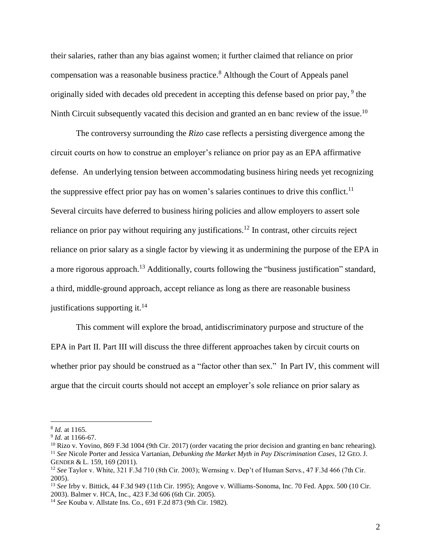their salaries, rather than any bias against women; it further claimed that reliance on prior compensation was a reasonable business practice. <sup>8</sup> Although the Court of Appeals panel originally sided with decades old precedent in accepting this defense based on prior pay, <sup>9</sup> the Ninth Circuit subsequently vacated this decision and granted an en banc review of the issue.<sup>10</sup>

The controversy surrounding the *Rizo* case reflects a persisting divergence among the circuit courts on how to construe an employer's reliance on prior pay as an EPA affirmative defense. An underlying tension between accommodating business hiring needs yet recognizing the suppressive effect prior pay has on women's salaries continues to drive this conflict.<sup>11</sup> Several circuits have deferred to business hiring policies and allow employers to assert sole reliance on prior pay without requiring any justifications.<sup>12</sup> In contrast, other circuits reject reliance on prior salary as a single factor by viewing it as undermining the purpose of the EPA in a more rigorous approach.<sup>13</sup> Additionally, courts following the "business justification" standard, a third, middle-ground approach, accept reliance as long as there are reasonable business justifications supporting it. $^{14}$ 

This comment will explore the broad, antidiscriminatory purpose and structure of the EPA in Part II. Part III will discuss the three different approaches taken by circuit courts on whether prior pay should be construed as a "factor other than sex." In Part IV, this comment will argue that the circuit courts should not accept an employer's sole reliance on prior salary as

<sup>8</sup> *Id.* at 1165.

<sup>9</sup> *Id.* at 1166-67.

 $10$  Rizo v. Yovino, 869 F.3d 1004 (9th Cir. 2017) (order vacating the prior decision and granting en banc rehearing). <sup>11</sup> *See* Nicole Porter and Jessica Vartanian, *Debunking the Market Myth in Pay Discrimination Cases*, 12 GEO. J. GENDER & L. 159, 169 (2011).

<sup>12</sup> *See* Taylor v. White, 321 F.3d 710 (8th Cir. 2003); Wernsing v. Dep't of Human Servs., 47 F.3d 466 (7th Cir. 2005).

<sup>13</sup> *See* Irby v. Bittick, 44 F.3d 949 (11th Cir. 1995); Angove v. Williams-Sonoma, Inc. 70 Fed. Appx. 500 (10 Cir. 2003). Balmer v. HCA, Inc., 423 F.3d 606 (6th Cir. 2005).

<sup>14</sup> *See* Kouba v. Allstate Ins. Co., 691 F.2d 873 (9th Cir. 1982).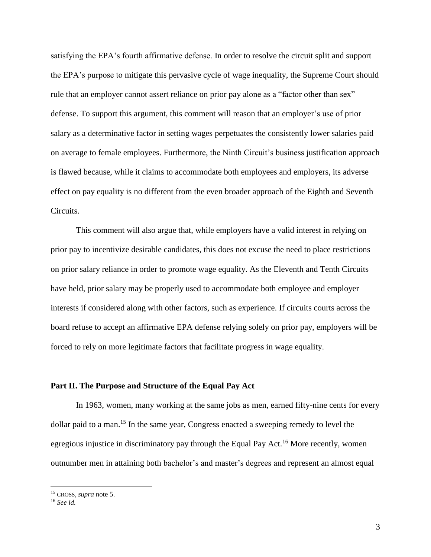satisfying the EPA's fourth affirmative defense. In order to resolve the circuit split and support the EPA's purpose to mitigate this pervasive cycle of wage inequality, the Supreme Court should rule that an employer cannot assert reliance on prior pay alone as a "factor other than sex" defense. To support this argument, this comment will reason that an employer's use of prior salary as a determinative factor in setting wages perpetuates the consistently lower salaries paid on average to female employees. Furthermore, the Ninth Circuit's business justification approach is flawed because, while it claims to accommodate both employees and employers, its adverse effect on pay equality is no different from the even broader approach of the Eighth and Seventh Circuits.

This comment will also argue that, while employers have a valid interest in relying on prior pay to incentivize desirable candidates, this does not excuse the need to place restrictions on prior salary reliance in order to promote wage equality. As the Eleventh and Tenth Circuits have held, prior salary may be properly used to accommodate both employee and employer interests if considered along with other factors, such as experience. If circuits courts across the board refuse to accept an affirmative EPA defense relying solely on prior pay, employers will be forced to rely on more legitimate factors that facilitate progress in wage equality.

## **Part II. The Purpose and Structure of the Equal Pay Act**

In 1963, women, many working at the same jobs as men, earned fifty-nine cents for every dollar paid to a man.<sup>15</sup> In the same year, Congress enacted a sweeping remedy to level the egregious injustice in discriminatory pay through the Equal Pay Act.<sup>16</sup> More recently, women outnumber men in attaining both bachelor's and master's degrees and represent an almost equal

<sup>15</sup> CROSS, *supra* note 5.

<sup>16</sup> *See id.*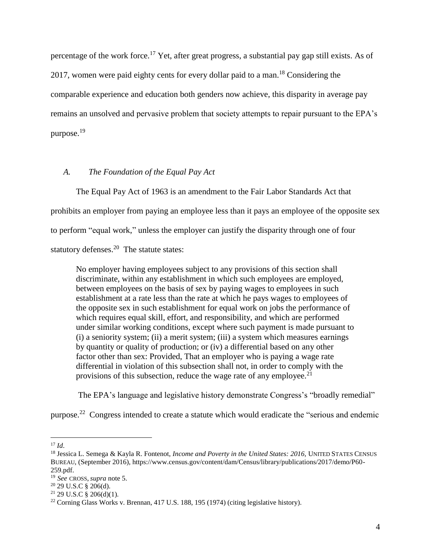percentage of the work force.<sup>17</sup> Yet, after great progress, a substantial pay gap still exists. As of 2017, women were paid eighty cents for every dollar paid to a man.<sup>18</sup> Considering the comparable experience and education both genders now achieve, this disparity in average pay remains an unsolved and pervasive problem that society attempts to repair pursuant to the EPA's purpose.<sup>19</sup>

# *A. The Foundation of the Equal Pay Act*

The Equal Pay Act of 1963 is an amendment to the Fair Labor Standards Act that prohibits an employer from paying an employee less than it pays an employee of the opposite sex to perform "equal work," unless the employer can justify the disparity through one of four statutory defenses.<sup>20</sup> The statute states:

No employer having employees subject to any provisions of this section shall discriminate, within any establishment in which such employees are employed, between employees on the basis of sex by paying wages to employees in such establishment at a rate less than the rate at which he pays wages to employees of the opposite sex in such establishment for equal work on jobs the performance of which requires equal skill, effort, and responsibility, and which are performed under similar working conditions, except where such payment is made pursuant to (i) a seniority system; (ii) a merit system; (iii) a system which measures earnings by quantity or quality of production; or (iv) a differential based on any other factor other than sex: Provided, That an employer who is paying a wage rate differential in violation of this subsection shall not, in order to comply with the provisions of this subsection, reduce the wage rate of any employee.<sup>21</sup>

The EPA's language and legislative history demonstrate Congress's "broadly remedial"

purpose.<sup>22</sup> Congress intended to create a statute which would eradicate the "serious and endemic

<sup>17</sup> *Id*.

<sup>18</sup> Jessica L. Semega & Kayla R. Fontenot, *Income and Poverty in the United States: 2016,* UNITED STATES CENSUS BUREAU, (September 2016), https://www.census.gov/content/dam/Census/library/publications/2017/demo/P60- 259.pdf.

<sup>19</sup> *See* CROSS, *supra* note 5.

 $20$  29 U.S.C §  $206(d)$ .

 $21$  29 U.S.C § 206(d)(1).

<sup>22</sup> Corning Glass Works v. Brennan, 417 U.S. 188, 195 (1974) (citing legislative history).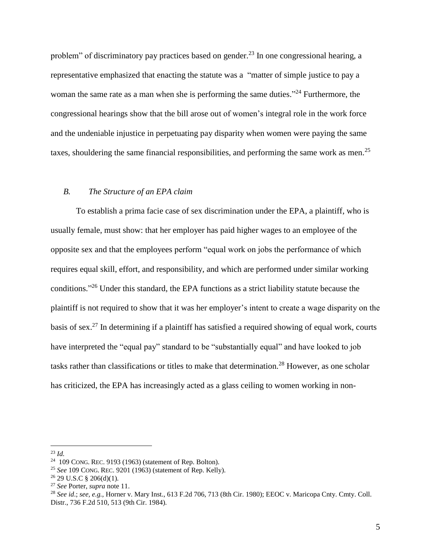problem" of discriminatory pay practices based on gender.<sup>23</sup> In one congressional hearing, a representative emphasized that enacting the statute was a "matter of simple justice to pay a woman the same rate as a man when she is performing the same duties."<sup>24</sup> Furthermore, the congressional hearings show that the bill arose out of women's integral role in the work force and the undeniable injustice in perpetuating pay disparity when women were paying the same taxes, shouldering the same financial responsibilities, and performing the same work as men.<sup>25</sup>

## *B. The Structure of an EPA claim*

To establish a prima facie case of sex discrimination under the EPA, a plaintiff, who is usually female, must show: that her employer has paid higher wages to an employee of the opposite sex and that the employees perform "equal work on jobs the performance of which requires equal skill, effort, and responsibility, and which are performed under similar working conditions." <sup>26</sup> Under this standard, the EPA functions as a strict liability statute because the plaintiff is not required to show that it was her employer's intent to create a wage disparity on the basis of sex.<sup>27</sup> In determining if a plaintiff has satisfied a required showing of equal work, courts have interpreted the "equal pay" standard to be "substantially equal" and have looked to job tasks rather than classifications or titles to make that determination. <sup>28</sup> However, as one scholar has criticized, the EPA has increasingly acted as a glass ceiling to women working in non-

<sup>23</sup> *Id.*

 $24$  109 CONG. REC. 9193 (1963) (statement of Rep. Bolton).

<sup>25</sup> *See* 109 CONG. REC. 9201 (1963) (statement of Rep. Kelly).

 $26$  29 U.S.C § 206(d)(1).

<sup>27</sup> *See* Porter, *supra* note 11.

<sup>28</sup> *See id*.; *see, e.g.,* Horner v. Mary Inst., 613 F.2d 706, 713 (8th Cir. 1980); EEOC v. Maricopa Cnty. Cmty. Coll. Distr., 736 F.2d 510, 513 (9th Cir. 1984).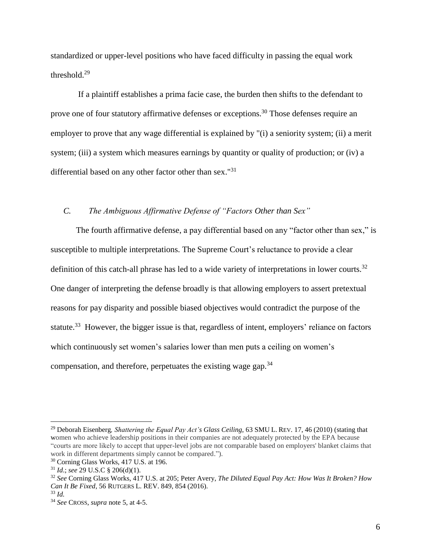standardized or upper-level positions who have faced difficulty in passing the equal work threshold.<sup>29</sup>

If a plaintiff establishes a prima facie case, the burden then shifts to the defendant to prove one of four statutory affirmative defenses or exceptions.<sup>30</sup> Those defenses require an employer to prove that any wage differential is explained by "(i) a seniority system; (ii) a merit system; (iii) a system which measures earnings by quantity or quality of production; or (iv) a differential based on any other factor other than sex."<sup>31</sup>

# *C. The Ambiguous Affirmative Defense of "Factors Other than Sex"*

The fourth affirmative defense, a pay differential based on any "factor other than sex," is susceptible to multiple interpretations. The Supreme Court's reluctance to provide a clear definition of this catch-all phrase has led to a wide variety of interpretations in lower courts.<sup>32</sup> One danger of interpreting the defense broadly is that allowing employers to assert pretextual reasons for pay disparity and possible biased objectives would contradict the purpose of the statute.<sup>33</sup> However, the bigger issue is that, regardless of intent, employers' reliance on factors which continuously set women's salaries lower than men puts a ceiling on women's compensation, and therefore, perpetuates the existing wage gap.  $34$ 

<sup>&</sup>lt;sup>29</sup> Deborah Eisenberg, Shattering the Equal Pay Act's Glass Ceiling, 63 SMU L. REV. 17, 46 (2010) (stating that women who achieve leadership positions in their companies are not adequately protected by the EPA because "courts are more likely to accept that upper-level jobs are not comparable based on employers' blanket claims that work in different departments simply cannot be compared.").

<sup>30</sup> Corning Glass Works, 417 U.S. at 196.

<sup>31</sup> *Id*.; *see* 29 U.S.C § 206(d)(1).

<sup>32</sup> *See* Corning Glass Works, 417 U.S. at 205; Peter Avery, *The Diluted Equal Pay Act: How Was It Broken? How Can It Be Fixed*, 56 RUTGERS L. REV. 849, 854 (2016).

<sup>33</sup> *Id.*

<sup>34</sup> *See* CROSS, *supra* note 5, at 4-5.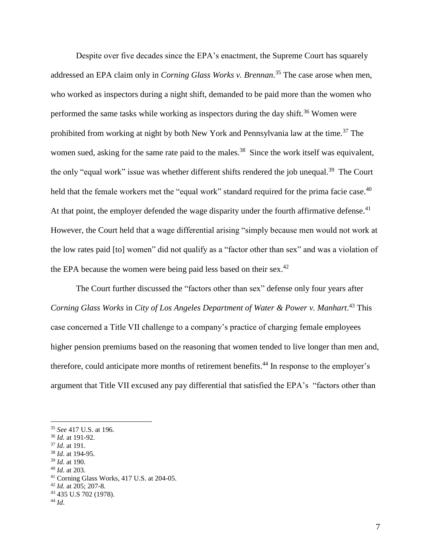Despite over five decades since the EPA's enactment, the Supreme Court has squarely addressed an EPA claim only in *Corning Glass Works v. Brennan*. <sup>35</sup> The case arose when men, who worked as inspectors during a night shift, demanded to be paid more than the women who performed the same tasks while working as inspectors during the day shift.<sup>36</sup> Women were prohibited from working at night by both New York and Pennsylvania law at the time.<sup>37</sup> The women sued, asking for the same rate paid to the males.<sup>38</sup> Since the work itself was equivalent, the only "equal work" issue was whether different shifts rendered the job unequal.<sup>39</sup> The Court held that the female workers met the "equal work" standard required for the prima facie case. $40$ At that point, the employer defended the wage disparity under the fourth affirmative defense.<sup>41</sup> However, the Court held that a wage differential arising "simply because men would not work at the low rates paid [to] women" did not qualify as a "factor other than sex" and was a violation of the EPA because the women were being paid less based on their sex. $42$ 

The Court further discussed the "factors other than sex" defense only four years after *Corning Glass Works* in *City of Los Angeles Department of Water & Power v. Manhart*. <sup>43</sup> This case concerned a Title VII challenge to a company's practice of charging female employees higher pension premiums based on the reasoning that women tended to live longer than men and, therefore, could anticipate more months of retirement benefits.<sup>44</sup> In response to the employer's argument that Title VII excused any pay differential that satisfied the EPA's "factors other than

- <sup>37</sup> *Id*. at 191.
- <sup>38</sup> *Id*. at 194-95. <sup>39</sup> *Id*. at 190.
- <sup>40</sup> *Id*. at 203.
- <sup>41</sup> Corning Glass Works, 417 U.S. at 204-05.
- <sup>42</sup> *Id.* at 205; 207-8.
- <sup>43</sup> 435 U.S 702 (1978).

<sup>35</sup> *See* 417 U.S. at 196.

<sup>36</sup> *Id.* at 191-92.

<sup>44</sup> *Id*.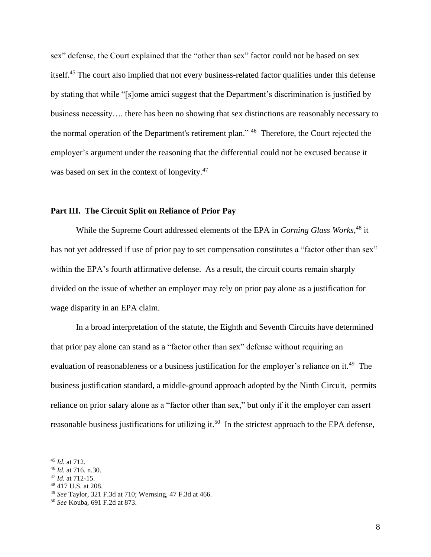sex" defense, the Court explained that the "other than sex" factor could not be based on sex itself. <sup>45</sup> The court also implied that not every business-related factor qualifies under this defense by stating that while "[s]ome amici suggest that the Department's discrimination is justified by business necessity…. there has been no showing that sex distinctions are reasonably necessary to the normal operation of the Department's retirement plan." <sup>46</sup> Therefore, the Court rejected the employer's argument under the reasoning that the differential could not be excused because it was based on sex in the context of longevity.<sup>47</sup>

### **Part III. The Circuit Split on Reliance of Prior Pay**

While the Supreme Court addressed elements of the EPA in *Corning Glass Works*, <sup>48</sup> it has not yet addressed if use of prior pay to set compensation constitutes a "factor other than sex" within the EPA's fourth affirmative defense. As a result, the circuit courts remain sharply divided on the issue of whether an employer may rely on prior pay alone as a justification for wage disparity in an EPA claim.

In a broad interpretation of the statute, the Eighth and Seventh Circuits have determined that prior pay alone can stand as a "factor other than sex" defense without requiring an evaluation of reasonableness or a business justification for the employer's reliance on it.<sup>49</sup> The business justification standard, a middle-ground approach adopted by the Ninth Circuit, permits reliance on prior salary alone as a "factor other than sex," but only if it the employer can assert reasonable business justifications for utilizing it.<sup>50</sup> In the strictest approach to the EPA defense,

<sup>45</sup> *Id.* at 712.

<sup>46</sup> *Id.* at 716. n.30.

<sup>47</sup> *Id.* at 712-15.

<sup>48</sup> 417 U.S. at 208.

<sup>49</sup> *See* Taylor, 321 F.3d at 710; Wernsing, 47 F.3d at 466.

<sup>50</sup> *See* Kouba, 691 F.2d at 873.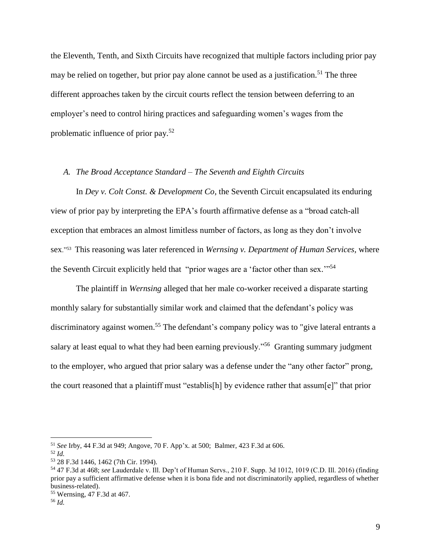the Eleventh, Tenth, and Sixth Circuits have recognized that multiple factors including prior pay may be relied on together, but prior pay alone cannot be used as a justification.<sup>51</sup> The three different approaches taken by the circuit courts reflect the tension between deferring to an employer's need to control hiring practices and safeguarding women's wages from the problematic influence of prior pay.<sup>52</sup>

#### *A. The Broad Acceptance Standard – The Seventh and Eighth Circuits*

In *Dey v. Colt Const. & Development Co*, the Seventh Circuit encapsulated its enduring view of prior pay by interpreting the EPA's fourth affirmative defense as a "broad catch-all exception that embraces an almost limitless number of factors, as long as they don't involve sex."<sup>53</sup> This reasoning was later referenced in *Wernsing v. Department of Human Services,* where the Seventh Circuit explicitly held that "prior wages are a 'factor other than sex."<sup>54</sup>

The plaintiff in *Wernsing* alleged that her male co-worker received a disparate starting monthly salary for substantially similar work and claimed that the defendant's policy was discriminatory against women.<sup>55</sup> The defendant's company policy was to "give lateral entrants a salary at least equal to what they had been earning previously."<sup>56</sup> Granting summary judgment to the employer, who argued that prior salary was a defense under the "any other factor" prong, the court reasoned that a plaintiff must "establis[h] by evidence rather that assum[e]" that prior

<sup>51</sup> *See* Irby, 44 F.3d at 949; Angove, 70 F. App'x. at 500; Balmer, 423 F.3d at 606.

<sup>52</sup> *Id.*

<sup>53</sup> 28 F.3d 1446, 1462 (7th Cir. 1994).

<sup>54</sup> 47 F.3d at 468; *see* Lauderdale v. Ill. Dep't of Human Servs., 210 F. Supp. 3d 1012, 1019 (C.D. Ill. 2016) (finding prior pay a sufficient affirmative defense when it is bona fide and not discriminatorily applied, regardless of whether business-related).

<sup>55</sup> Wernsing, 47 F.3d at 467.

<sup>56</sup> *Id.*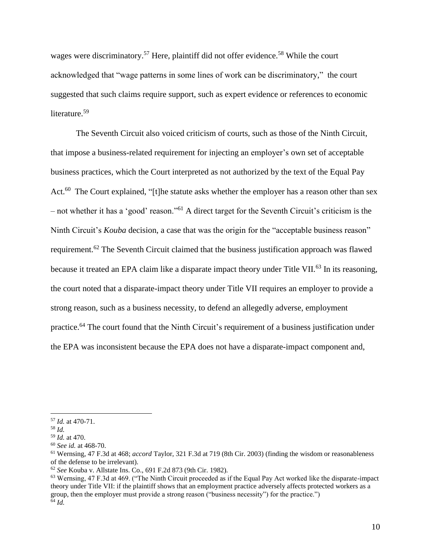wages were discriminatory.<sup>57</sup> Here, plaintiff did not offer evidence.<sup>58</sup> While the court acknowledged that "wage patterns in some lines of work can be discriminatory," the court suggested that such claims require support, such as expert evidence or references to economic literature. 59

The Seventh Circuit also voiced criticism of courts, such as those of the Ninth Circuit, that impose a business-related requirement for injecting an employer's own set of acceptable business practices, which the Court interpreted as not authorized by the text of the Equal Pay Act.<sup>60</sup> The Court explained, "[t]he statute asks whether the employer has a reason other than sex – not whether it has a 'good' reason."<sup>61</sup> A direct target for the Seventh Circuit's criticism is the Ninth Circuit's *Kouba* decision, a case that was the origin for the "acceptable business reason" requirement.<sup>62</sup> The Seventh Circuit claimed that the business justification approach was flawed because it treated an EPA claim like a disparate impact theory under Title VII.<sup>63</sup> In its reasoning, the court noted that a disparate-impact theory under Title VII requires an employer to provide a strong reason, such as a business necessity, to defend an allegedly adverse, employment practice.<sup>64</sup> The court found that the Ninth Circuit's requirement of a business justification under the EPA was inconsistent because the EPA does not have a disparate-impact component and,

<sup>57</sup> *Id.* at 470-71.

<sup>58</sup> *Id.*

<sup>59</sup> *Id.* at 470.

<sup>60</sup> *See id.* at 468-70.

<sup>61</sup> Wernsing, 47 F.3d at 468; *accord* Taylor, 321 F.3d at 719 (8th Cir. 2003) (finding the wisdom or reasonableness of the defense to be irrelevant).

<sup>62</sup> *See* Kouba v. Allstate Ins. Co., 691 F.2d 873 (9th Cir. 1982).

<sup>63</sup> Wernsing, 47 F.3d at 469. ("The Ninth Circuit proceeded as if the Equal Pay Act worked like the disparate-impact theory under Title VII: if the plaintiff shows that an employment practice adversely affects protected workers as a group, then the employer must provide a strong reason ("business necessity") for the practice.") <sup>64</sup> *Id.*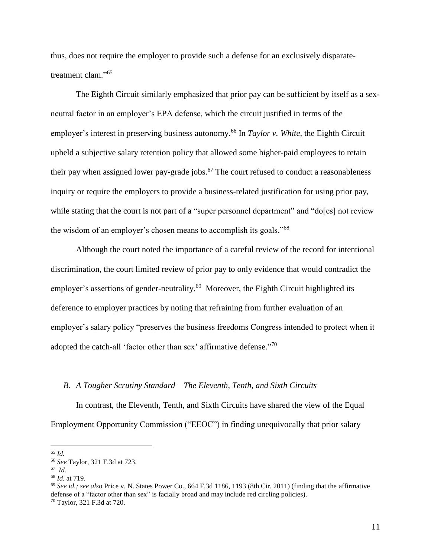thus, does not require the employer to provide such a defense for an exclusively disparatetreatment clam."<sup>65</sup>

The Eighth Circuit similarly emphasized that prior pay can be sufficient by itself as a sexneutral factor in an employer's EPA defense, which the circuit justified in terms of the employer's interest in preserving business autonomy. <sup>66</sup> In *Taylor v. White,* the Eighth Circuit upheld a subjective salary retention policy that allowed some higher-paid employees to retain their pay when assigned lower pay-grade jobs.<sup>67</sup> The court refused to conduct a reasonableness inquiry or require the employers to provide a business-related justification for using prior pay, while stating that the court is not part of a "super personnel department" and "do[es] not review the wisdom of an employer's chosen means to accomplish its goals."<sup>68</sup>

Although the court noted the importance of a careful review of the record for intentional discrimination, the court limited review of prior pay to only evidence that would contradict the employer's assertions of gender-neutrality.<sup>69</sup> Moreover, the Eighth Circuit highlighted its deference to employer practices by noting that refraining from further evaluation of an employer's salary policy "preserves the business freedoms Congress intended to protect when it adopted the catch-all 'factor other than sex' affirmative defense."<sup>70</sup>

#### *B. A Tougher Scrutiny Standard – The Eleventh, Tenth, and Sixth Circuits*

In contrast, the Eleventh, Tenth, and Sixth Circuits have shared the view of the Equal Employment Opportunity Commission ("EEOC") in finding unequivocally that prior salary

<sup>65</sup> *Id.*

<sup>66</sup> *See* Taylor, 321 F.3d at 723.

<sup>67</sup> *Id.*

<sup>68</sup> *Id.* at 719.

<sup>69</sup> *See id.; see also* Price v. N. States Power Co., 664 F.3d 1186, 1193 (8th Cir. 2011) (finding that the affirmative defense of a "factor other than sex" is facially broad and may include red circling policies). <sup>70</sup> Taylor, 321 F.3d at 720.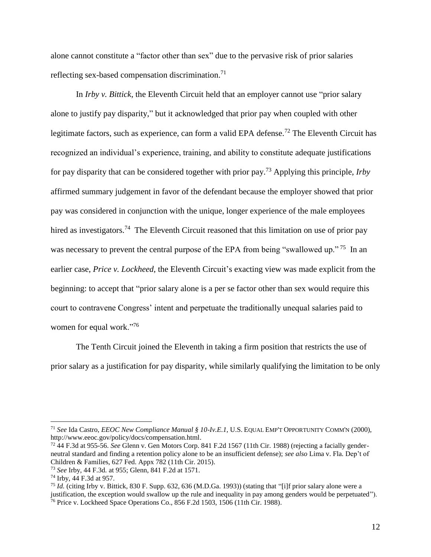alone cannot constitute a "factor other than sex" due to the pervasive risk of prior salaries reflecting sex-based compensation discrimination.<sup>71</sup>

In *Irby v. Bittick*, the Eleventh Circuit held that an employer cannot use "prior salary alone to justify pay disparity," but it acknowledged that prior pay when coupled with other legitimate factors, such as experience, can form a valid EPA defense.<sup>72</sup> The Eleventh Circuit has recognized an individual's experience, training, and ability to constitute adequate justifications for pay disparity that can be considered together with prior pay. <sup>73</sup> Applying this principle, *Irby* affirmed summary judgement in favor of the defendant because the employer showed that prior pay was considered in conjunction with the unique, longer experience of the male employees hired as investigators.<sup>74</sup> The Eleventh Circuit reasoned that this limitation on use of prior pay was necessary to prevent the central purpose of the EPA from being "swallowed up."<sup>75</sup> In an earlier case, *Price v. Lockheed*, the Eleventh Circuit's exacting view was made explicit from the beginning: to accept that "prior salary alone is a per se factor other than sex would require this court to contravene Congress' intent and perpetuate the traditionally unequal salaries paid to women for equal work."<sup>76</sup>

The Tenth Circuit joined the Eleventh in taking a firm position that restricts the use of prior salary as a justification for pay disparity, while similarly qualifying the limitation to be only

<sup>71</sup> *See* Ida Castro, *EEOC New Compliance Manual § 10-Iv.E.1,* U.S. EQUAL EMP'T OPPORTUNITY COMM'N (2000), [http://www.eeoc.gov/policy/docs/compensation.html.](http://www.eeoc.gov/policy/docs/compensation.html)

<sup>72</sup> 44 F.3d at 955-56. *See* Glenn v. Gen Motors Corp. 841 F.2d 1567 (11th Cir. 1988) (rejecting a facially genderneutral standard and finding a retention policy alone to be an insufficient defense); *see also* Lima v. Fla. Dep't of Children & Families, 627 Fed. Appx 782 (11th Cir. 2015).

<sup>73</sup> *See* Irby, 44 F.3d*.* at 955; Glenn, 841 F.2d at 1571.

<sup>74</sup> Irby, 44 F.3d at 957.

<sup>75</sup> *Id.* (citing Irby v. Bittick, 830 F. Supp. 632, 636 (M.D.Ga. 1993)) (stating that "[i]f prior salary alone were a justification, the exception would swallow up the rule and inequality in pay among genders would be perpetuated"). <sup>76</sup> Price v. Lockheed Space Operations Co., 856 F.2d 1503, 1506 (11th Cir. 1988).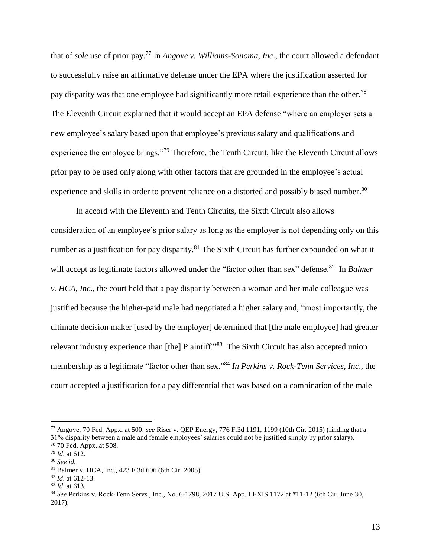that of *sole* use of prior pay.<sup>77</sup> In *Angove v. Williams-Sonoma, Inc*., the court allowed a defendant to successfully raise an affirmative defense under the EPA where the justification asserted for pay disparity was that one employee had significantly more retail experience than the other.<sup>78</sup> The Eleventh Circuit explained that it would accept an EPA defense "where an employer sets a new employee's salary based upon that employee's previous salary and qualifications and experience the employee brings."<sup>79</sup> Therefore, the Tenth Circuit, like the Eleventh Circuit allows prior pay to be used only along with other factors that are grounded in the employee's actual experience and skills in order to prevent reliance on a distorted and possibly biased number.<sup>80</sup>

In accord with the Eleventh and Tenth Circuits, the Sixth Circuit also allows consideration of an employee's prior salary as long as the employer is not depending only on this number as a justification for pay disparity.<sup>81</sup> The Sixth Circuit has further expounded on what it will accept as legitimate factors allowed under the "factor other than sex" defense.<sup>82</sup> In *Balmer v. HCA, Inc*., the court held that a pay disparity between a woman and her male colleague was justified because the higher-paid male had negotiated a higher salary and, "most importantly, the ultimate decision maker [used by the employer] determined that [the male employee] had greater relevant industry experience than [the] Plaintiff."<sup>83</sup> The Sixth Circuit has also accepted union membership as a legitimate "factor other than sex."<sup>84</sup> *In Perkins v. Rock-Tenn Services, Inc*., the court accepted a justification for a pay differential that was based on a combination of the male

<sup>77</sup> Angove, 70 Fed. Appx. at 500; *see* Riser v. QEP Energy, 776 F.3d 1191, 1199 (10th Cir. 2015) (finding that a 31% disparity between a male and female employees' salaries could not be justified simply by prior salary).

<sup>78</sup> 70 Fed. Appx. at 508.

<sup>79</sup> *Id*. at 612.

<sup>80</sup> *See id.*

<sup>81</sup> Balmer v. HCA*,* Inc., 423 F.3d 606 (6th Cir. 2005).

<sup>82</sup> *Id*. at 612-13.

<sup>83</sup> *Id*. at 613.

<sup>84</sup> *See* Perkins v. Rock-Tenn Servs., Inc., No. 6-1798, 2017 U.S. App. LEXIS 1172 at \*11-12 (6th Cir. June 30, 2017).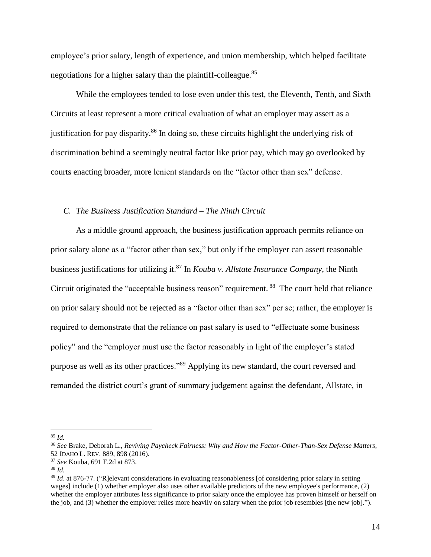employee's prior salary, length of experience, and union membership, which helped facilitate negotiations for a higher salary than the plaintiff-colleague.<sup>85</sup>

While the employees tended to lose even under this test, the Eleventh, Tenth, and Sixth Circuits at least represent a more critical evaluation of what an employer may assert as a justification for pay disparity.<sup>86</sup> In doing so, these circuits highlight the underlying risk of discrimination behind a seemingly neutral factor like prior pay, which may go overlooked by courts enacting broader, more lenient standards on the "factor other than sex" defense.

#### *C. The Business Justification Standard – The Ninth Circuit*

As a middle ground approach, the business justification approach permits reliance on prior salary alone as a "factor other than sex," but only if the employer can assert reasonable business justifications for utilizing it.<sup>87</sup> In *Kouba v. Allstate Insurance Company*, the Ninth Circuit originated the "acceptable business reason" requirement. <sup>88</sup> The court held that reliance on prior salary should not be rejected as a "factor other than sex" per se; rather, the employer is required to demonstrate that the reliance on past salary is used to "effectuate some business policy" and the "employer must use the factor reasonably in light of the employer's stated purpose as well as its other practices."<sup>89</sup> Applying its new standard, the court reversed and remanded the district court's grant of summary judgement against the defendant, Allstate, in

<sup>85</sup> *Id.*

<sup>86</sup> *See* Brake, Deborah L., *Reviving Paycheck Fairness: Why and How the Factor-Other-Than-Sex Defense Matters*, 52 IDAHO L. REV. 889, 898 (2016).

<sup>87</sup> *See* Kouba, 691 F.2d at 873.

<sup>88</sup> *Id.*

<sup>89</sup> *Id*. at 876-77. ("R]elevant considerations in evaluating reasonableness [of considering prior salary in setting wages] include (1) whether employer also uses other available predictors of the new employee's performance, (2) whether the employer attributes less significance to prior salary once the employee has proven himself or herself on the job, and (3) whether the employer relies more heavily on salary when the prior job resembles [the new job].").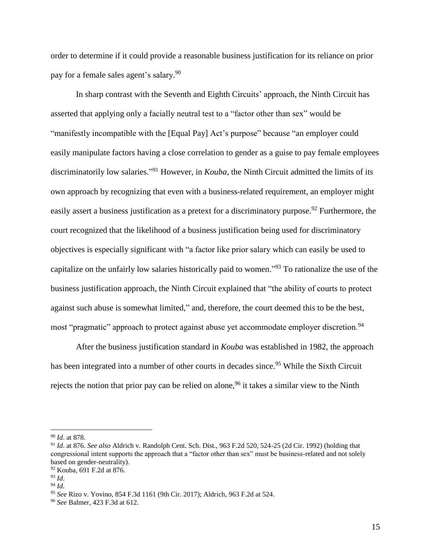order to determine if it could provide a reasonable business justification for its reliance on prior pay for a female sales agent's salary.<sup>90</sup>

In sharp contrast with the Seventh and Eighth Circuits' approach, the Ninth Circuit has asserted that applying only a facially neutral test to a "factor other than sex" would be "manifestly incompatible with the [Equal Pay] Act's purpose" because "an employer could easily manipulate factors having a close correlation to gender as a guise to pay female employees discriminatorily low salaries." <sup>91</sup> However, in *Kouba*, the Ninth Circuit admitted the limits of its own approach by recognizing that even with a business-related requirement, an employer might easily assert a business justification as a pretext for a discriminatory purpose.<sup>92</sup> Furthermore, the court recognized that the likelihood of a business justification being used for discriminatory objectives is especially significant with "a factor like prior salary which can easily be used to capitalize on the unfairly low salaries historically paid to women."<sup>93</sup> To rationalize the use of the business justification approach, the Ninth Circuit explained that "the ability of courts to protect against such abuse is somewhat limited," and, therefore, the court deemed this to be the best, most "pragmatic" approach to protect against abuse yet accommodate employer discretion.<sup>94</sup>

After the business justification standard in *Kouba* was established in 1982, the approach has been integrated into a number of other courts in decades since.<sup>95</sup> While the Sixth Circuit rejects the notion that prior pay can be relied on alone,<sup>96</sup> it takes a similar view to the Ninth

<sup>90</sup> *Id*. at 878.

<sup>91</sup> *Id*. at 876. *See also* Aldrich v. Randolph Cent. Sch. Dist., 963 F.2d 520, 524-25 (2d Cir. 1992) (holding that congressional intent supports the approach that a "factor other than sex" must be business-related and not solely based on gender-neutrality).

<sup>92</sup> Kouba, 691 F.2d at 876.

<sup>93</sup> *Id*.

<sup>94</sup> *Id.*

<sup>95</sup> *See* Rizo v. Yovino, 854 F.3d 1161 (9th Cir. 2017); Aldrich, 963 F.2d at 524.

<sup>96</sup> *See* Balmer, 423 F.3d at 612.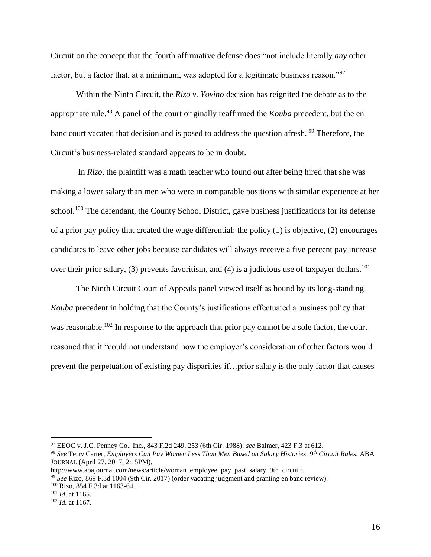Circuit on the concept that the fourth affirmative defense does "not include literally *any* other factor, but a factor that, at a minimum, was adopted for a legitimate business reason."<sup>97</sup>

Within the Ninth Circuit, the *Rizo v. Yovino* decision has reignited the debate as to the appropriate rule.<sup>98</sup> A panel of the court originally reaffirmed the *Kouba* precedent, but the en banc court vacated that decision and is posed to address the question afresh*.* <sup>99</sup> Therefore, the Circuit's business-related standard appears to be in doubt.

In *Rizo*, the plaintiff was a math teacher who found out after being hired that she was making a lower salary than men who were in comparable positions with similar experience at her school.<sup>100</sup> The defendant, the County School District, gave business justifications for its defense of a prior pay policy that created the wage differential: the policy  $(1)$  is objective,  $(2)$  encourages candidates to leave other jobs because candidates will always receive a five percent pay increase over their prior salary, (3) prevents favoritism, and (4) is a judicious use of taxpayer dollars.<sup>101</sup>

The Ninth Circuit Court of Appeals panel viewed itself as bound by its long-standing *Kouba* precedent in holding that the County's justifications effectuated a business policy that was reasonable.<sup>102</sup> In response to the approach that prior pay cannot be a sole factor, the court reasoned that it "could not understand how the employer's consideration of other factors would prevent the perpetuation of existing pay disparities if…prior salary is the only factor that causes

<sup>97</sup> EEOC v. J.C. Penney Co., Inc., 843 F.2d 249, 253 (6th Cir. 1988); *see* Balmer, 423 F.3 at 612.

<sup>98</sup> *See* Terry Carter, *Employers Can Pay Women Less Than Men Based on Salary Histories, 9th Circuit Rules*, ABA JOURNAL (April 27. 2017, 2:15PM),

http://www.abajournal.com/news/article/woman\_employee\_pay\_past\_salary\_9th\_circuiit.

<sup>99</sup> *See* Rizo, 869 F.3d 1004 (9th Cir. 2017) (order vacating judgment and granting en banc review).

<sup>100</sup> Rizo, 854 F.3d at 1163-64.

<sup>101</sup> *Id*. at 1165.

<sup>102</sup> *Id.* at 1167.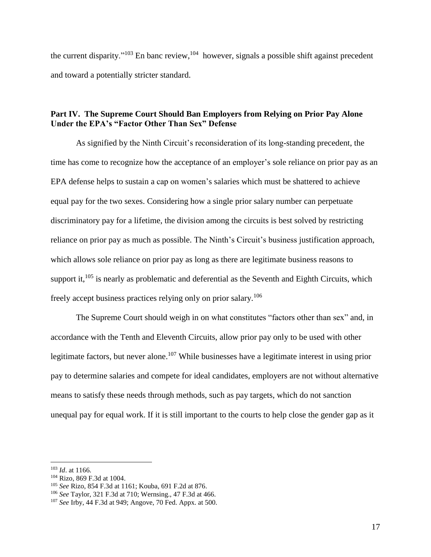the current disparity."<sup>103</sup> En banc review, <sup>104</sup> however, signals a possible shift against precedent and toward a potentially stricter standard.

# **Part IV. The Supreme Court Should Ban Employers from Relying on Prior Pay Alone Under the EPA's "Factor Other Than Sex" Defense**

As signified by the Ninth Circuit's reconsideration of its long-standing precedent, the time has come to recognize how the acceptance of an employer's sole reliance on prior pay as an EPA defense helps to sustain a cap on women's salaries which must be shattered to achieve equal pay for the two sexes. Considering how a single prior salary number can perpetuate discriminatory pay for a lifetime, the division among the circuits is best solved by restricting reliance on prior pay as much as possible. The Ninth's Circuit's business justification approach, which allows sole reliance on prior pay as long as there are legitimate business reasons to support it, $^{105}$  is nearly as problematic and deferential as the Seventh and Eighth Circuits, which freely accept business practices relying only on prior salary.<sup>106</sup>

The Supreme Court should weigh in on what constitutes "factors other than sex" and, in accordance with the Tenth and Eleventh Circuits, allow prior pay only to be used with other legitimate factors, but never alone.<sup>107</sup> While businesses have a legitimate interest in using prior pay to determine salaries and compete for ideal candidates, employers are not without alternative means to satisfy these needs through methods, such as pay targets, which do not sanction unequal pay for equal work. If it is still important to the courts to help close the gender gap as it

<sup>103</sup> *Id*. at 1166.

<sup>104</sup> Rizo, 869 F.3d at 1004.

<sup>105</sup> *See* Rizo, 854 F.3d at 1161; Kouba, 691 F.2d at 876.

<sup>106</sup> *See* Taylor, 321 F.3d at 710; Wernsing., 47 F.3d at 466.

<sup>107</sup> *See* Irby, 44 F.3d at 949; Angove, 70 Fed. Appx. at 500.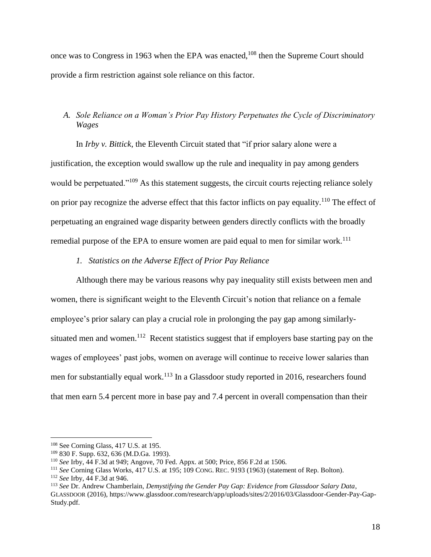once was to Congress in 1963 when the EPA was enacted,<sup>108</sup> then the Supreme Court should provide a firm restriction against sole reliance on this factor.

# *A. Sole Reliance on a Woman's Prior Pay History Perpetuates the Cycle of Discriminatory Wages*

In *Irby v. Bittick*, the Eleventh Circuit stated that "if prior salary alone were a justification, the exception would swallow up the rule and inequality in pay among genders would be perpetuated."<sup>109</sup> As this statement suggests, the circuit courts rejecting reliance solely on prior pay recognize the adverse effect that this factor inflicts on pay equality.<sup>110</sup> The effect of perpetuating an engrained wage disparity between genders directly conflicts with the broadly remedial purpose of the EPA to ensure women are paid equal to men for similar work.<sup>111</sup>

# *1. Statistics on the Adverse Effect of Prior Pay Reliance*

Although there may be various reasons why pay inequality still exists between men and women, there is significant weight to the Eleventh Circuit's notion that reliance on a female employee's prior salary can play a crucial role in prolonging the pay gap among similarlysituated men and women.<sup>112</sup> Recent statistics suggest that if employers base starting pay on the wages of employees' past jobs, women on average will continue to receive lower salaries than men for substantially equal work.<sup>113</sup> In a Glassdoor study reported in 2016, researchers found that men earn 5.4 percent more in base pay and 7.4 percent in overall compensation than their

<sup>&</sup>lt;sup>108</sup> See Corning Glass, 417 U.S. at 195.

<sup>109</sup> 830 F. Supp. 632, 636 (M.D.Ga. 1993).

<sup>110</sup> *See* Irby, 44 F.3d at 949; Angove, 70 Fed. Appx. at 500; Price, 856 F.2d at 1506.

<sup>111</sup> *See* Corning Glass Works, 417 U.S. at 195; 109 CONG. REC. 9193 (1963) (statement of Rep. Bolton).

<sup>112</sup> *See* Irby, 44 F.3d at 946.

<sup>113</sup> *See* Dr. Andrew Chamberlain, *Demystifying the Gender Pay Gap: Evidence from Glassdoor Salary Data*, GLASSDOOR (2016), https://www.glassdoor.com/research/app/uploads/sites/2/2016/03/Glassdoor-Gender-Pay-Gap-Study.pdf.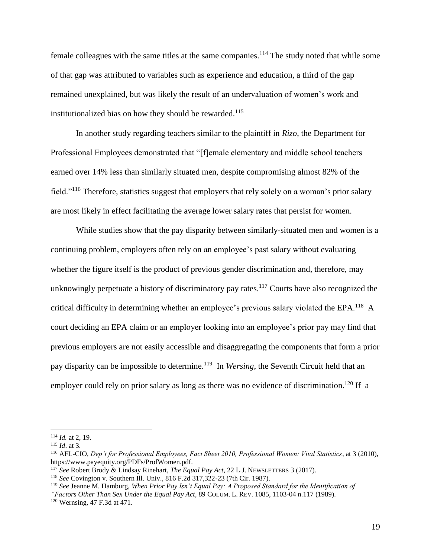female colleagues with the same titles at the same companies.<sup>114</sup> The study noted that while some of that gap was attributed to variables such as experience and education, a third of the gap remained unexplained, but was likely the result of an undervaluation of women's work and institutionalized bias on how they should be rewarded. 115

In another study regarding teachers similar to the plaintiff in *Rizo*, the Department for Professional Employees demonstrated that "[f]emale elementary and middle school teachers earned over 14% less than similarly situated men, despite compromising almost 82% of the field."<sup>116</sup> Therefore, statistics suggest that employers that rely solely on a woman's prior salary are most likely in effect facilitating the average lower salary rates that persist for women.

While studies show that the pay disparity between similarly-situated men and women is a continuing problem, employers often rely on an employee's past salary without evaluating whether the figure itself is the product of previous gender discrimination and, therefore, may unknowingly perpetuate a history of discriminatory pay rates.<sup>117</sup> Courts have also recognized the critical difficulty in determining whether an employee's previous salary violated the EPA.<sup>118</sup> A court deciding an EPA claim or an employer looking into an employee's prior pay may find that previous employers are not easily accessible and disaggregating the components that form a prior pay disparity can be impossible to determine. 119 In *Wersing*, the Seventh Circuit held that an employer could rely on prior salary as long as there was no evidence of discrimination.<sup>120</sup> If a

<sup>114</sup> *Id.* at 2, 19.

<sup>115</sup> *Id*. at 3.

<sup>116</sup> AFL-CIO, *Dep't for Professional Employees, Fact Sheet 2010, Professional Women: Vital Statistics*, at 3 (2010), https://www.payequity.org/PDFs/ProfWomen.pdf.

<sup>117</sup> *See* Robert Brody & Lindsay Rinehart, *The Equal Pay Act*, 22 L.J. NEWSLETTERS 3 (2017).

<sup>118</sup> *See* Covington v. Southern Ill. Univ., 816 F.2d 317,322-23 (7th Cir. 1987).

<sup>119</sup> *See* Jeanne M. Hamburg, *When Prior Pay Isn't Equal Pay: A Proposed Standard for the Identification of* 

*<sup>&</sup>quot;Factors Other Than Sex Under the Equal Pay Act*, 89 COLUM. L. REV. 1085, 1103-04 n.117 (1989).

<sup>120</sup> Wernsing, 47 F.3d at 471.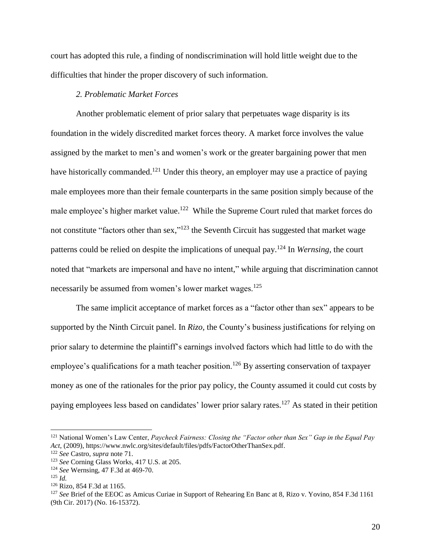court has adopted this rule, a finding of nondiscrimination will hold little weight due to the difficulties that hinder the proper discovery of such information.

## *2. Problematic Market Forces*

Another problematic element of prior salary that perpetuates wage disparity is its foundation in the widely discredited market forces theory. A market force involves the value assigned by the market to men's and women's work or the greater bargaining power that men have historically commanded.<sup>121</sup> Under this theory, an employer may use a practice of paying male employees more than their female counterparts in the same position simply because of the male employee's higher market value.<sup>122</sup> While the Supreme Court ruled that market forces do not constitute "factors other than sex," $123$  the Seventh Circuit has suggested that market wage patterns could be relied on despite the implications of unequal pay. <sup>124</sup> In *Wernsing*, the court noted that "markets are impersonal and have no intent," while arguing that discrimination cannot necessarily be assumed from women's lower market wages.<sup>125</sup>

The same implicit acceptance of market forces as a "factor other than sex" appears to be supported by the Ninth Circuit panel. In *Rizo,* the County's business justifications for relying on prior salary to determine the plaintiff's earnings involved factors which had little to do with the employee's qualifications for a math teacher position.<sup>126</sup> By asserting conservation of taxpayer money as one of the rationales for the prior pay policy, the County assumed it could cut costs by paying employees less based on candidates' lower prior salary rates.<sup>127</sup> As stated in their petition

<sup>121</sup> National Women's Law Center, *Paycheck Fairness: Closing the "Factor other than Sex" Gap in the Equal Pay Act*, (2009), https://www.nwlc.org/sites/default/files/pdfs/FactorOtherThanSex.pdf.

<sup>122</sup> *See* Castro, *supra* note 71.

<sup>123</sup> *See* Corning Glass Works, 417 U.S. at 205.

<sup>124</sup> *See* Wernsing, 47 F.3d at 469-70.

 $125$  *Id.* 

<sup>126</sup> Rizo, 854 F.3d at 1165.

<sup>127</sup> *See* Brief of the EEOC as Amicus Curiae in Support of Rehearing En Banc at 8, Rizo v. Yovino, 854 F.3d 1161 (9th Cir. 2017) (No. 16-15372).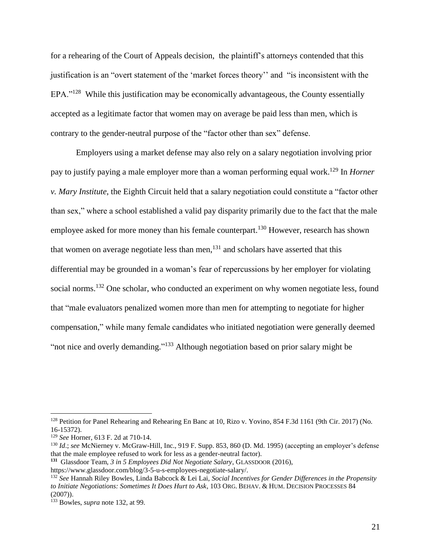for a rehearing of the Court of Appeals decision, the plaintiff's attorneys contended that this justification is an "overt statement of the 'market forces theory'' and "is inconsistent with the EPA."<sup>128</sup> While this justification may be economically advantageous, the County essentially accepted as a legitimate factor that women may on average be paid less than men, which is contrary to the gender-neutral purpose of the "factor other than sex" defense.

Employers using a market defense may also rely on a salary negotiation involving prior pay to justify paying a male employer more than a woman performing equal work. <sup>129</sup> In *Horner v. Mary Institute*, the Eighth Circuit held that a salary negotiation could constitute a "factor other than sex," where a school established a valid pay disparity primarily due to the fact that the male employee asked for more money than his female counterpart.<sup>130</sup> However, research has shown that women on average negotiate less than men, $^{131}$  and scholars have asserted that this differential may be grounded in a woman's fear of repercussions by her employer for violating social norms.<sup>132</sup> One scholar, who conducted an experiment on why women negotiate less, found that "male evaluators penalized women more than men for attempting to negotiate for higher compensation," while many female candidates who initiated negotiation were generally deemed "not nice and overly demanding."<sup>133</sup> Although negotiation based on prior salary might be

<sup>128</sup> Petition for Panel Rehearing and Rehearing En Banc at 10, Rizo v. Yovino, 854 F.3d 1161 (9th Cir. 2017) (No. 16-15372).

<sup>129</sup> *See* Horner, 613 F. 2d at 710-14.

<sup>130</sup> *Id*.; *see* McNierney v. McGraw-Hill, Inc., 919 F. Supp. 853, 860 (D. Md. 1995) (accepting an employer's defense that the male employee refused to work for less as a gender-neutral factor).

**<sup>131</sup>** Glassdoor Team, *3 in 5 Employees Did Not Negotiate Salary*, GLASSDOOR (2016),

[https://www.glassdoor.com/blog/3-5-u-s-employees-negotiate-salary/.](https://www.glassdoor.com/blog/3-5-u-s-employees-negotiate-salary/) 

<sup>132</sup> *See* Hannah Riley Bowles, Linda Babcock & Lei Lai, *Social Incentives for Gender Differences in the Propensity to Initiate Negotiations: Sometimes It Does Hurt to Ask*, 103 ORG. BEHAV. & HUM. DECISION PROCESSES 84  $(2007)$ .

<sup>133</sup> Bowles, *supra* note 132, at 99.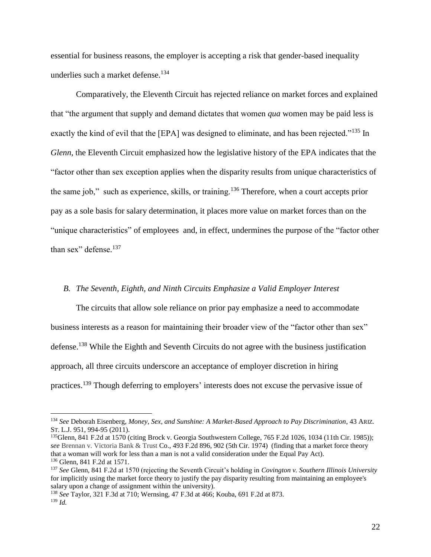essential for business reasons, the employer is accepting a risk that gender-based inequality underlies such a market defense. 134

Comparatively, the Eleventh Circuit has rejected reliance on market forces and explained that "the argument that supply and demand dictates that women *qua* women may be paid less is exactly the kind of evil that the [EPA] was designed to eliminate, and has been rejected."<sup>135</sup> In *Glenn*, the Eleventh Circuit emphasized how the legislative history of the EPA indicates that the "factor other than sex exception applies when the disparity results from unique characteristics of the same job," such as experience, skills, or training.<sup>136</sup> Therefore, when a court accepts prior pay as a sole basis for salary determination, it places more value on market forces than on the "unique characteristics" of employees and, in effect, undermines the purpose of the "factor other than sex" defense.<sup>137</sup>

#### *B. The Seventh, Eighth, and Ninth Circuits Emphasize a Valid Employer Interest*

The circuits that allow sole reliance on prior pay emphasize a need to accommodate business interests as a reason for maintaining their broader view of the "factor other than sex" defense.<sup>138</sup> While the Eighth and Seventh Circuits do not agree with the business justification approach, all three circuits underscore an acceptance of employer discretion in hiring practices.<sup>139</sup> Though deferring to employers' interests does not excuse the pervasive issue of

<sup>134</sup> *See* Deborah Eisenberg, *Money, Sex, and Sunshine: A Market-Based Approach to Pay Discrimination*, 43 ARIZ. ST. L.J. 951, 994-95 (2011).

<sup>&</sup>lt;sup>135</sup>Glenn, 841 F.2d at 1570 (citing Brock v. Georgia Southwestern College, 765 F.2d 1026, 1034 (11th Cir. 1985)); *see* Brennan v. Victoria Bank & Trust Co., 493 F.2d 896, 902 (5th Cir. 1974) (finding that a market force theory that a woman will work for less than a man is not a valid consideration under the Equal Pay Act). <sup>136</sup> Glenn, 841 F.2d at 1571.

<sup>137</sup> *See* Glenn, 841 F.2d at 1570 (rejecting the Seventh Circuit's holding in *Covington v. Southern Illinois University* for implicitly using the market force theory to justify the pay disparity resulting from maintaining an employee's salary upon a change of assignment within the university).

<sup>138</sup> *See* Taylor, 321 F.3d at 710; Wernsing, 47 F.3d at 466; Kouba, 691 F.2d at 873. <sup>139</sup> *Id.*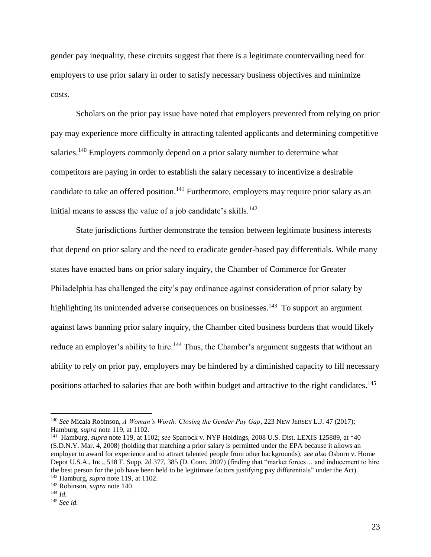gender pay inequality, these circuits suggest that there is a legitimate countervailing need for employers to use prior salary in order to satisfy necessary business objectives and minimize costs.

Scholars on the prior pay issue have noted that employers prevented from relying on prior pay may experience more difficulty in attracting talented applicants and determining competitive salaries.<sup>140</sup> Employers commonly depend on a prior salary number to determine what competitors are paying in order to establish the salary necessary to incentivize a desirable candidate to take an offered position.<sup>141</sup> Furthermore, employers may require prior salary as an initial means to assess the value of a job candidate's skills.<sup>142</sup>

State jurisdictions further demonstrate the tension between legitimate business interests that depend on prior salary and the need to eradicate gender-based pay differentials. While many states have enacted bans on prior salary inquiry, the Chamber of Commerce for Greater Philadelphia has challenged the city's pay ordinance against consideration of prior salary by highlighting its unintended adverse consequences on businesses.<sup>143</sup> To support an argument against laws banning prior salary inquiry, the Chamber cited business burdens that would likely reduce an employer's ability to hire.<sup>144</sup> Thus, the Chamber's argument suggests that without an ability to rely on prior pay, employers may be hindered by a diminished capacity to fill necessary positions attached to salaries that are both within budget and attractive to the right candidates.<sup>145</sup>

<sup>140</sup> *See* Micala Robinson, *A Woman's Worth: Closing the Gender Pay Gap*, 223 NEW JERSEY L.J. 47 (2017); Hamburg, *supra* note 119, at 1102.

<sup>141</sup> Hamburg, *supra* note 119, at 1102; *see* Sparrock v. NYP Holdings, 2008 U.S. Dist. LEXIS 125889, at \*40 (S.D.N.Y. Mar. 4, 2008) (holding that matching a prior salary is permitted under the EPA because it allows an employer to award for experience and to attract talented people from other backgrounds); *see also* Osborn v. Home Depot U.S.A., Inc., 518 F. Supp. 2d 377, 385 (D. Conn. 2007) (finding that "market forces… and inducement to hire the best person for the job have been held to be legitimate factors justifying pay differentials" under the Act). <sup>142</sup> Hamburg, *supra* note 119, at 1102.

<sup>143</sup> Robinson, *supra* note 140.

<sup>144</sup> *Id.* 

<sup>145</sup> *See id.*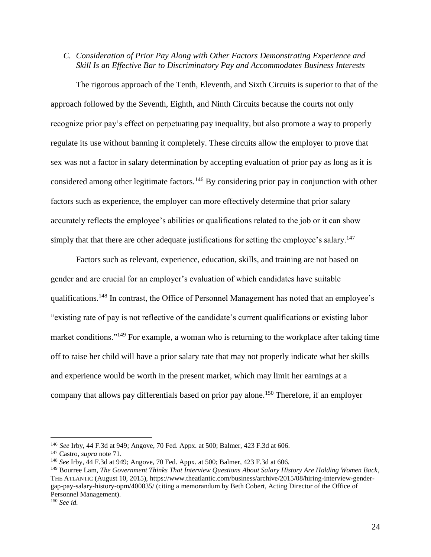# *C. Consideration of Prior Pay Along with Other Factors Demonstrating Experience and Skill Is an Effective Bar to Discriminatory Pay and Accommodates Business Interests*

The rigorous approach of the Tenth, Eleventh, and Sixth Circuits is superior to that of the approach followed by the Seventh, Eighth, and Ninth Circuits because the courts not only recognize prior pay's effect on perpetuating pay inequality, but also promote a way to properly regulate its use without banning it completely. These circuits allow the employer to prove that sex was not a factor in salary determination by accepting evaluation of prior pay as long as it is considered among other legitimate factors.<sup>146</sup> By considering prior pay in conjunction with other factors such as experience, the employer can more effectively determine that prior salary accurately reflects the employee's abilities or qualifications related to the job or it can show simply that that there are other adequate justifications for setting the employee's salary.<sup>147</sup>

Factors such as relevant, experience, education, skills, and training are not based on gender and are crucial for an employer's evaluation of which candidates have suitable qualifications.<sup>148</sup> In contrast, the Office of Personnel Management has noted that an employee's "existing rate of pay is not reflective of the candidate's current qualifications or existing labor market conditions."<sup>149</sup> For example, a woman who is returning to the workplace after taking time off to raise her child will have a prior salary rate that may not properly indicate what her skills and experience would be worth in the present market, which may limit her earnings at a company that allows pay differentials based on prior pay alone.<sup>150</sup> Therefore, if an employer

<sup>146</sup> *See* Irby, 44 F.3d at 949; Angove, 70 Fed. Appx. at 500; Balmer, 423 F.3d at 606.

<sup>147</sup> Castro, *supra* note 71.

<sup>148</sup> *See* Irby, 44 F.3d at 949; Angove, 70 Fed. Appx. at 500; Balmer, 423 F.3d at 606.

<sup>149</sup> Bourree Lam, *The Government Thinks That Interview Questions About Salary History Are Holding Women Back*, THE ATLANTIC (August 10, 2015), https://www.theatlantic.com/business/archive/2015/08/hiring-interview-gendergap-pay-salary-history-opm/400835/ (citing a memorandum by Beth Cobert, Acting Director of the Office of Personnel Management).

<sup>150</sup> *See id.*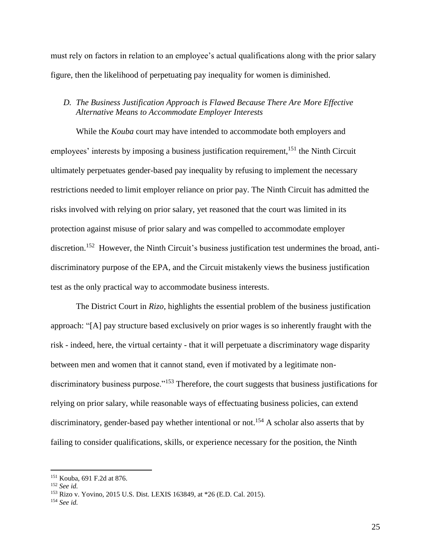must rely on factors in relation to an employee's actual qualifications along with the prior salary figure, then the likelihood of perpetuating pay inequality for women is diminished.

# *D. The Business Justification Approach is Flawed Because There Are More Effective Alternative Means to Accommodate Employer Interests*

While the *Kouba* court may have intended to accommodate both employers and employees' interests by imposing a business justification requirement,<sup>151</sup> the Ninth Circuit ultimately perpetuates gender-based pay inequality by refusing to implement the necessary restrictions needed to limit employer reliance on prior pay. The Ninth Circuit has admitted the risks involved with relying on prior salary, yet reasoned that the court was limited in its protection against misuse of prior salary and was compelled to accommodate employer discretion.<sup>152</sup> However, the Ninth Circuit's business justification test undermines the broad, antidiscriminatory purpose of the EPA, and the Circuit mistakenly views the business justification test as the only practical way to accommodate business interests.

The District Court in *Rizo*, highlights the essential problem of the business justification approach: "[A] pay structure based exclusively on prior wages is so inherently fraught with the risk - indeed, here, the virtual certainty - that it will perpetuate a discriminatory wage disparity between men and women that it cannot stand, even if motivated by a legitimate nondiscriminatory business purpose."<sup>153</sup> Therefore, the court suggests that business justifications for relying on prior salary, while reasonable ways of effectuating business policies, can extend discriminatory, gender-based pay whether intentional or not.<sup>154</sup> A scholar also asserts that by failing to consider qualifications, skills, or experience necessary for the position, the Ninth

<sup>151</sup> Kouba, 691 F.2d at 876.

<sup>152</sup> *See id.* 

<sup>153</sup> Rizo v. Yovino, 2015 U.S. Dist. LEXIS 163849, at \*26 (E.D. Cal. 2015).

<sup>154</sup> *See id.*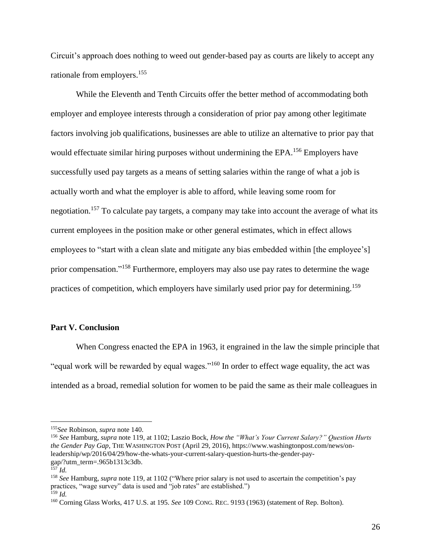Circuit's approach does nothing to weed out gender-based pay as courts are likely to accept any rationale from employers.<sup>155</sup>

While the Eleventh and Tenth Circuits offer the better method of accommodating both employer and employee interests through a consideration of prior pay among other legitimate factors involving job qualifications, businesses are able to utilize an alternative to prior pay that would effectuate similar hiring purposes without undermining the EPA.<sup>156</sup> Employers have successfully used pay targets as a means of setting salaries within the range of what a job is actually worth and what the employer is able to afford, while leaving some room for negotiation.<sup>157</sup> To calculate pay targets, a company may take into account the average of what its current employees in the position make or other general estimates, which in effect allows employees to "start with a clean slate and mitigate any bias embedded within [the employee's] prior compensation."<sup>158</sup> Furthermore, employers may also use pay rates to determine the wage practices of competition, which employers have similarly used prior pay for determining.<sup>159</sup>

#### **Part V. Conclusion**

When Congress enacted the EPA in 1963, it engrained in the law the simple principle that "equal work will be rewarded by equal wages."<sup>160</sup> In order to effect wage equality, the act was intended as a broad, remedial solution for women to be paid the same as their male colleagues in

<sup>155</sup>*See* Robinson, *supra* note 140.

<sup>156</sup> *See* Hamburg, *supra* note 119, at 1102; Laszio Bock, *How the "What's Your Current Salary?" Question Hurts the Gender Pay Gap*, THE WASHINGTON POST (April 29, 2016), https://www.washingtonpost.com/news/onleadership/wp/2016/04/29/how-the-whats-your-current-salary-question-hurts-the-gender-paygap/?utm\_term=.965b1313c3db.

<sup>157</sup> *Id.*

<sup>158</sup> *See* Hamburg, *supra* note 119, at 1102 ("Where prior salary is not used to ascertain the competition's pay practices, "wage survey" data is used and "job rates" are established.")

<sup>159</sup> *Id.*

<sup>160</sup> Corning Glass Works, 417 U.S. at 195. *See* 109 CONG. REC. 9193 (1963) (statement of Rep. Bolton).